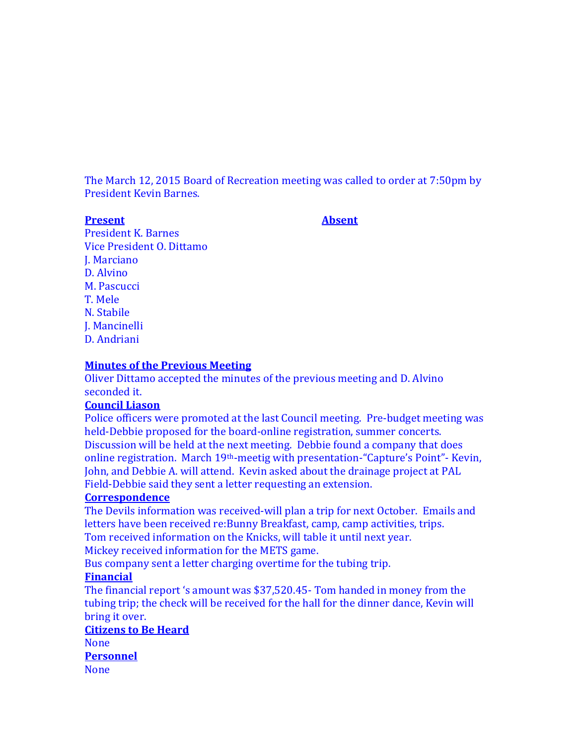The March 12, 2015 Board of Recreation meeting was called to order at 7:50pm by President Kevin Barnes.

#### **Present Absent**

President K. Barnes Vice President O. Dittamo J. Marciano D. Alvino M. Pascucci T. Mele N. Stabile J. Mancinelli D. Andriani

#### **Minutes of the Previous Meeting**

Oliver Dittamo accepted the minutes of the previous meeting and D. Alvino seconded it.

#### **Council Liason**

Police officers were promoted at the last Council meeting. Pre-budget meeting was held-Debbie proposed for the board-online registration, summer concerts. Discussion will be held at the next meeting. Debbie found a company that does online registration. March 19th-meetig with presentation-"Capture's Point"- Kevin, John, and Debbie A. will attend. Kevin asked about the drainage project at PAL Field-Debbie said they sent a letter requesting an extension.

#### **Correspondence**

The Devils information was received-will plan a trip for next October. Emails and letters have been received re:Bunny Breakfast, camp, camp activities, trips. Tom received information on the Knicks, will table it until next year. Mickey received information for the METS game.

Bus company sent a letter charging overtime for the tubing trip.

## **Financial**

The financial report 's amount was \$37,520.45- Tom handed in money from the tubing trip; the check will be received for the hall for the dinner dance, Kevin will bring it over.

# **Citizens to Be Heard**

None **Personnel** None